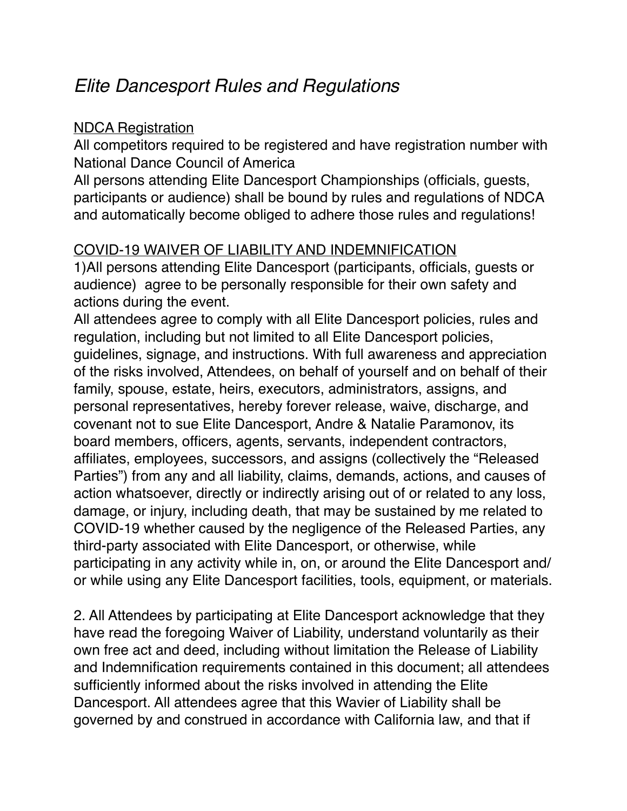# *Elite Dancesport Rules and Regulations*

#### NDCA Registration

All competitors required to be registered and have registration number with National Dance Council of America

All persons attending Elite Dancesport Championships (officials, guests, participants or audience) shall be bound by rules and regulations of NDCA and automatically become obliged to adhere those rules and regulations!

# COVID-19 WAIVER OF LIABILITY AND INDEMNIFICATION

1)All persons attending Elite Dancesport (participants, officials, guests or audience) agree to be personally responsible for their own safety and actions during the event.

All attendees agree to comply with all Elite Dancesport policies, rules and regulation, including but not limited to all Elite Dancesport policies, guidelines, signage, and instructions. With full awareness and appreciation of the risks involved, Attendees, on behalf of yourself and on behalf of their family, spouse, estate, heirs, executors, administrators, assigns, and personal representatives, hereby forever release, waive, discharge, and covenant not to sue Elite Dancesport, Andre & Natalie Paramonov, its board members, officers, agents, servants, independent contractors, affiliates, employees, successors, and assigns (collectively the "Released Parties") from any and all liability, claims, demands, actions, and causes of action whatsoever, directly or indirectly arising out of or related to any loss, damage, or injury, including death, that may be sustained by me related to COVID-19 whether caused by the negligence of the Released Parties, any third-party associated with Elite Dancesport, or otherwise, while participating in any activity while in, on, or around the Elite Dancesport and/ or while using any Elite Dancesport facilities, tools, equipment, or materials.

2. All Attendees by participating at Elite Dancesport acknowledge that they have read the foregoing Waiver of Liability, understand voluntarily as their own free act and deed, including without limitation the Release of Liability and Indemnification requirements contained in this document; all attendees sufficiently informed about the risks involved in attending the Elite Dancesport. All attendees agree that this Wavier of Liability shall be governed by and construed in accordance with California law, and that if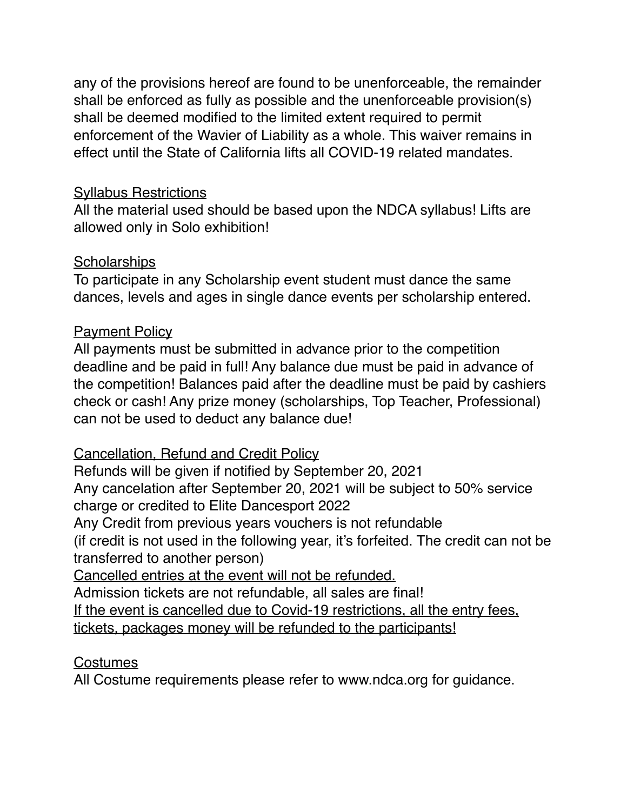any of the provisions hereof are found to be unenforceable, the remainder shall be enforced as fully as possible and the unenforceable provision(s) shall be deemed modified to the limited extent required to permit enforcement of the Wavier of Liability as a whole. This waiver remains in effect until the State of California lifts all COVID-19 related mandates.

#### **Syllabus Restrictions**

All the material used should be based upon the NDCA syllabus! Lifts are allowed only in Solo exhibition!

#### **Scholarships**

To participate in any Scholarship event student must dance the same dances, levels and ages in single dance events per scholarship entered.

## **Payment Policy**

All payments must be submitted in advance prior to the competition deadline and be paid in full! Any balance due must be paid in advance of the competition! Balances paid after the deadline must be paid by cashiers check or cash! Any prize money (scholarships, Top Teacher, Professional) can not be used to deduct any balance due!

## Cancellation, Refund and Credit Policy

Refunds will be given if notified by September 20, 2021

Any cancelation after September 20, 2021 will be subject to 50% service charge or credited to Elite Dancesport 2022

Any Credit from previous years vouchers is not refundable

(if credit is not used in the following year, it's forfeited. The credit can not be transferred to another person)

Cancelled entries at the event will not be refunded.

Admission tickets are not refundable, all sales are final!

If the event is cancelled due to Covid-19 restrictions, all the entry fees,

tickets, packages money will be refunded to the participants!

## Costumes

All Costume requirements please refer to www.ndca.org for guidance.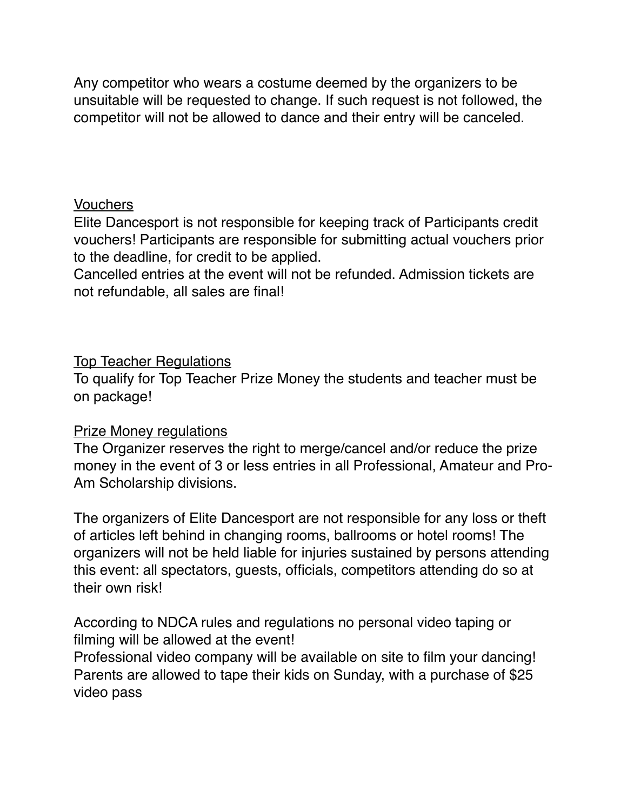Any competitor who wears a costume deemed by the organizers to be unsuitable will be requested to change. If such request is not followed, the competitor will not be allowed to dance and their entry will be canceled.

#### Vouchers

Elite Dancesport is not responsible for keeping track of Participants credit vouchers! Participants are responsible for submitting actual vouchers prior to the deadline, for credit to be applied.

Cancelled entries at the event will not be refunded. Admission tickets are not refundable, all sales are final!

#### Top Teacher Regulations

To qualify for Top Teacher Prize Money the students and teacher must be on package!

#### Prize Money regulations

The Organizer reserves the right to merge/cancel and/or reduce the prize money in the event of 3 or less entries in all Professional, Amateur and Pro-Am Scholarship divisions.

The organizers of Elite Dancesport are not responsible for any loss or theft of articles left behind in changing rooms, ballrooms or hotel rooms! The organizers will not be held liable for injuries sustained by persons attending this event: all spectators, guests, officials, competitors attending do so at their own risk!

According to NDCA rules and regulations no personal video taping or filming will be allowed at the event!

Professional video company will be available on site to film your dancing! Parents are allowed to tape their kids on Sunday, with a purchase of \$25 video pass